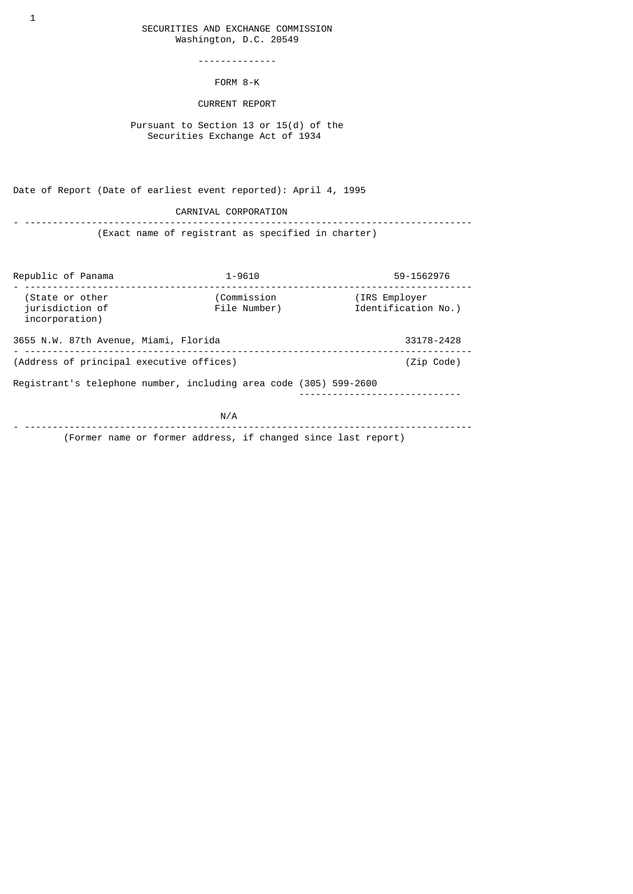## SECURITIES AND EXCHANGE COMMISSION Washington, D.C. 20549

--------------

FORM 8-K

## CURRENT REPORT

 Pursuant to Section 13 or 15(d) of the Securities Exchange Act of 1934

Date of Report (Date of earliest event reported): April 4, 1995

CARNIVAL CORPORATION

- -------------------------------------------------------------------------------- (Exact name of registrant as specified in charter)

| Republic of Panama                                                | $1 - 9610$                  | 59-1562976                           |
|-------------------------------------------------------------------|-----------------------------|--------------------------------------|
| (State or other<br>jurisdiction of<br>incorporation)              | (Commission<br>File Number) | (IRS Employer<br>Identification No.) |
| 3655 N.W. 87th Avenue, Miami, Florida<br>33178-2428               |                             |                                      |
| (Address of principal executive offices)                          |                             | (Zip Code)                           |
| Registrant's telephone number, including area code (305) 599-2600 |                             |                                      |
|                                                                   | N/A                         |                                      |
| (Former name or former address, if changed since last report)     |                             |                                      |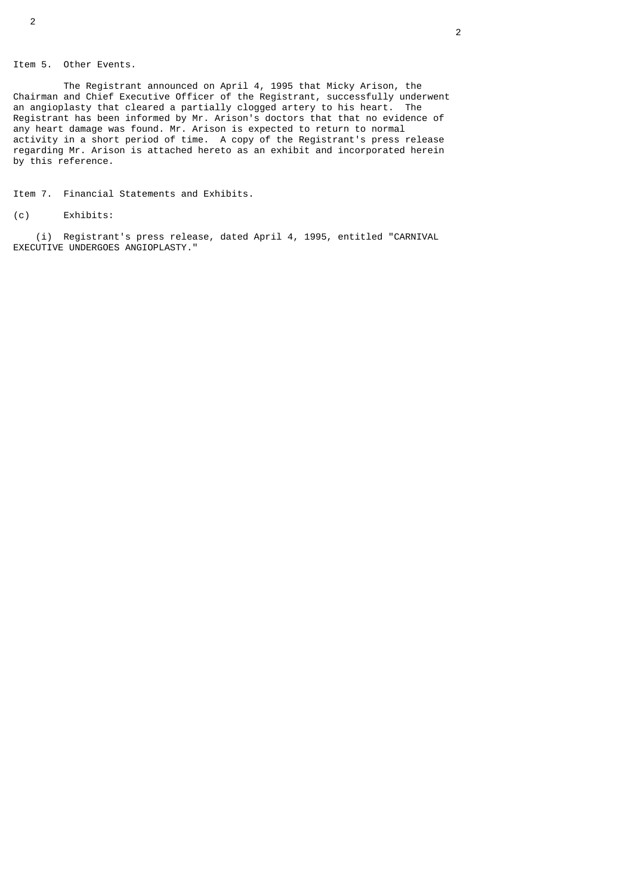## Item 5. Other Events.

 The Registrant announced on April 4, 1995 that Micky Arison, the Chairman and Chief Executive Officer of the Registrant, successfully underwent an angioplasty that cleared a partially clogged artery to his heart. The Registrant has been informed by Mr. Arison's doctors that that no evidence of any heart damage was found. Mr. Arison is expected to return to normal activity in a short period of time. A copy of the Registrant's press release regarding Mr. Arison is attached hereto as an exhibit and incorporated herein by this reference.

Item 7. Financial Statements and Exhibits.

(c) Exhibits:

 (i) Registrant's press release, dated April 4, 1995, entitled "CARNIVAL EXECUTIVE UNDERGOES ANGIOPLASTY."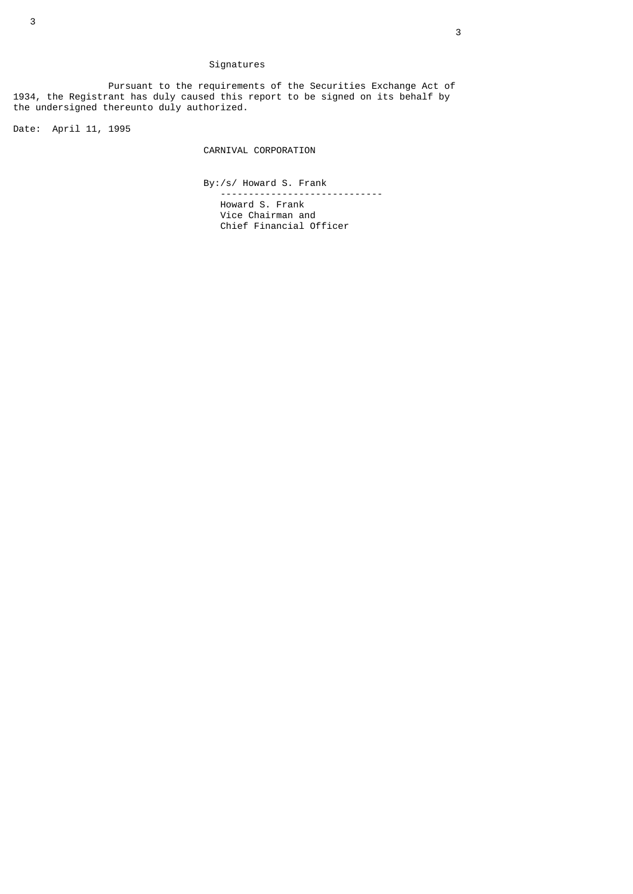# Signatures

 Pursuant to the requirements of the Securities Exchange Act of 1934, the Registrant has duly caused this report to be signed on its behalf by the undersigned thereunto duly authorized.

Date: April 11, 1995

CARNIVAL CORPORATION

 By:/s/ Howard S. Frank -----------------------------

 Howard S. Frank Vice Chairman and Chief Financial Officer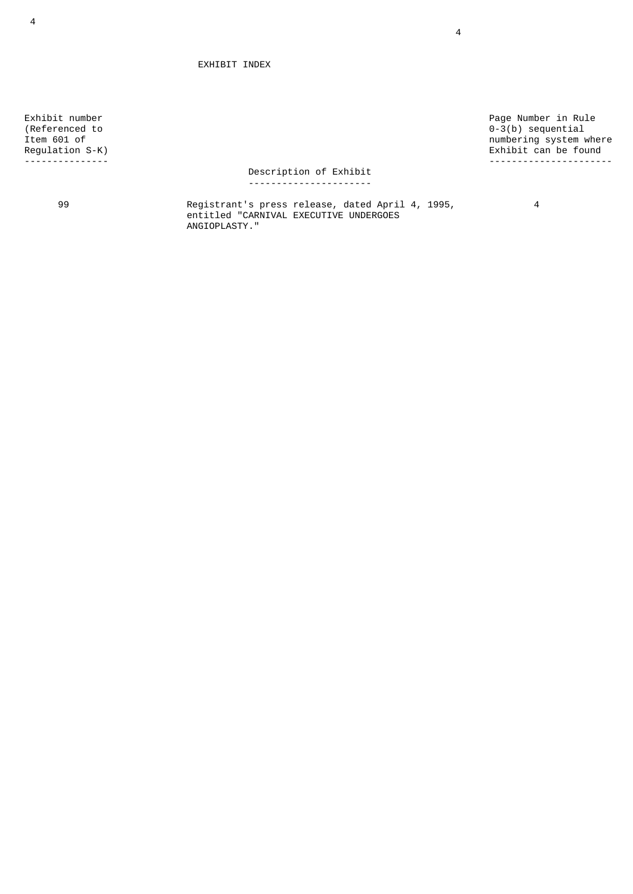EXHIBIT INDEX

Exhibit number<br>
(Referenced to  $0-3(b)$  sequential<br>
Page Number in Rule (Referenced to 0-3(b) sequential Item 601 of numbering system where Regulation S-K) Exhibit can be found --------------- ----------------------

#### Description of Exhibit ----------------------

 99 Registrant's press release, dated April 4, 1995, 4 entitled "CARNIVAL EXECUTIVE UNDERGOES ANGIOPLASTY."